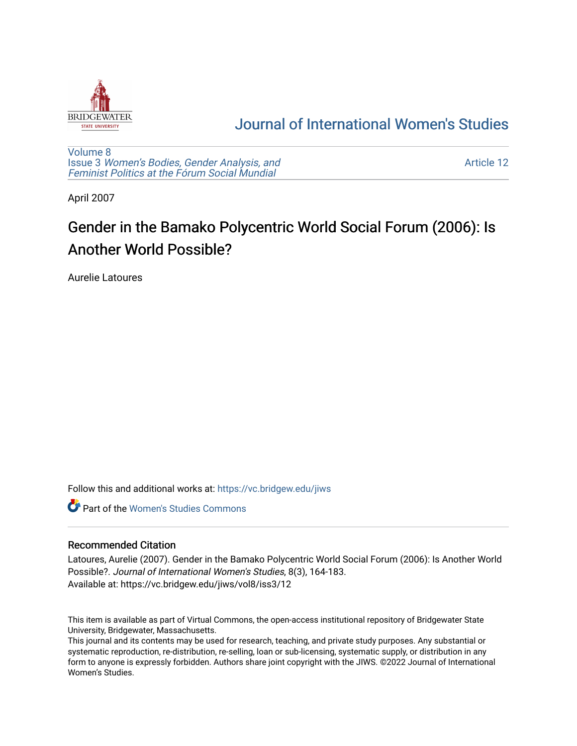

# [Journal of International Women's Studies](https://vc.bridgew.edu/jiws)

[Volume 8](https://vc.bridgew.edu/jiws/vol8) Issue 3 [Women's Bodies, Gender Analysis, and](https://vc.bridgew.edu/jiws/vol8/iss3) [Feminist Politics at the Fórum Social Mundial](https://vc.bridgew.edu/jiws/vol8/iss3)

[Article 12](https://vc.bridgew.edu/jiws/vol8/iss3/12) 

April 2007

# Gender in the Bamako Polycentric World Social Forum (2006): Is Another World Possible?

Aurelie Latoures

Follow this and additional works at: [https://vc.bridgew.edu/jiws](https://vc.bridgew.edu/jiws?utm_source=vc.bridgew.edu%2Fjiws%2Fvol8%2Fiss3%2F12&utm_medium=PDF&utm_campaign=PDFCoverPages)

**C** Part of the Women's Studies Commons

# Recommended Citation

Latoures, Aurelie (2007). Gender in the Bamako Polycentric World Social Forum (2006): Is Another World Possible?. Journal of International Women's Studies, 8(3), 164-183. Available at: https://vc.bridgew.edu/jiws/vol8/iss3/12

This item is available as part of Virtual Commons, the open-access institutional repository of Bridgewater State University, Bridgewater, Massachusetts.

This journal and its contents may be used for research, teaching, and private study purposes. Any substantial or systematic reproduction, re-distribution, re-selling, loan or sub-licensing, systematic supply, or distribution in any form to anyone is expressly forbidden. Authors share joint copyright with the JIWS. ©2022 Journal of International Women's Studies.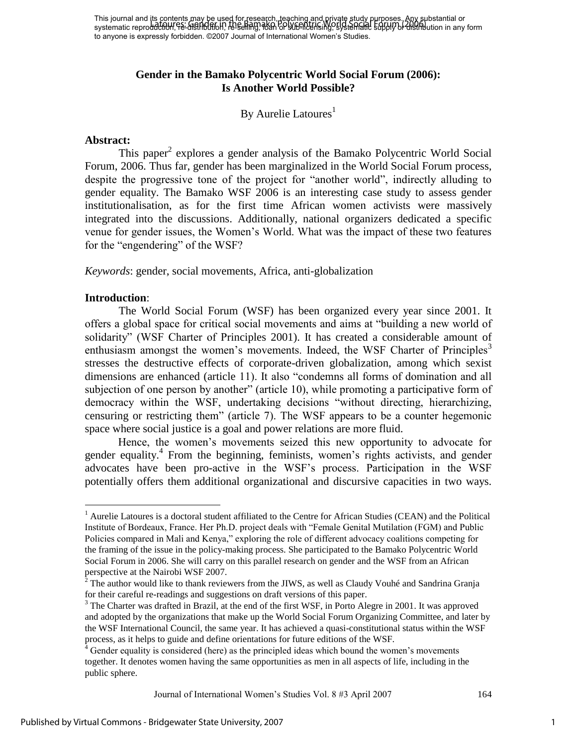# **Gender in the Bamako Polycentric World Social Forum (2006): Is Another World Possible?**

### By Aurelie Latoures $<sup>1</sup>$ </sup>

#### **Abstract:**

This paper<sup>2</sup> explores a gender analysis of the Bamako Polycentric World Social Forum, 2006. Thus far, gender has been marginalized in the World Social Forum process, despite the progressive tone of the project for "another world", indirectly alluding to gender equality. The Bamako WSF 2006 is an interesting case study to assess gender institutionalisation, as for the first time African women activists were massively integrated into the discussions. Additionally, national organizers dedicated a specific venue for gender issues, the Women"s World. What was the impact of these two features for the "engendering" of the WSF?

*Keywords*: gender, social movements, Africa, anti-globalization

#### **Introduction**:

 $\overline{a}$ 

 The World Social Forum (WSF) has been organized every year since 2001. It offers a global space for critical social movements and aims at "building a new world of solidarity" (WSF Charter of Principles 2001). It has created a considerable amount of enthusiasm amongst the women's movements. Indeed, the WSF Charter of Principles<sup>3</sup> stresses the destructive effects of corporate-driven globalization, among which sexist dimensions are enhanced (article 11). It also "condemns all forms of domination and all subjection of one person by another" (article 10), while promoting a participative form of democracy within the WSF, undertaking decisions "without directing, hierarchizing, censuring or restricting them" (article 7). The WSF appears to be a counter hegemonic space where social justice is a goal and power relations are more fluid.

Hence, the women"s movements seized this new opportunity to advocate for gender equality.<sup>4</sup> From the beginning, feminists, women's rights activists, and gender advocates have been pro-active in the WSF"s process. Participation in the WSF potentially offers them additional organizational and discursive capacities in two ways.

Journal of International Women"s Studies Vol. 8 #3 April 2007 164

<sup>&</sup>lt;sup>1</sup> Aurelie Latoures is a doctoral student affiliated to the Centre for African Studies (CEAN) and the Political Institute of Bordeaux, France. Her Ph.D. project deals with "Female Genital Mutilation (FGM) and Public Policies compared in Mali and Kenya," exploring the role of different advocacy coalitions competing for the framing of the issue in the policy-making process. She participated to the Bamako Polycentric World Social Forum in 2006. She will carry on this parallel research on gender and the WSF from an African perspective at the Nairobi WSF 2007.

 $2^2$  The author would like to thank reviewers from the JIWS, as well as Claudy Vouhé and Sandrina Granja for their careful re-readings and suggestions on draft versions of this paper.

<sup>&</sup>lt;sup>3</sup> The Charter was drafted in Brazil, at the end of the first WSF, in Porto Alegre in 2001. It was approved and adopted by the organizations that make up the World Social Forum Organizing Committee, and later by the WSF International Council, the same year. It has achieved a quasi-constitutional status within the WSF process, as it helps to guide and define orientations for future editions of the WSF.

 $4 \overline{4}$  Gender equality is considered (here) as the principled ideas which bound the women's movements together. It denotes women having the same opportunities as men in all aspects of life, including in the public sphere.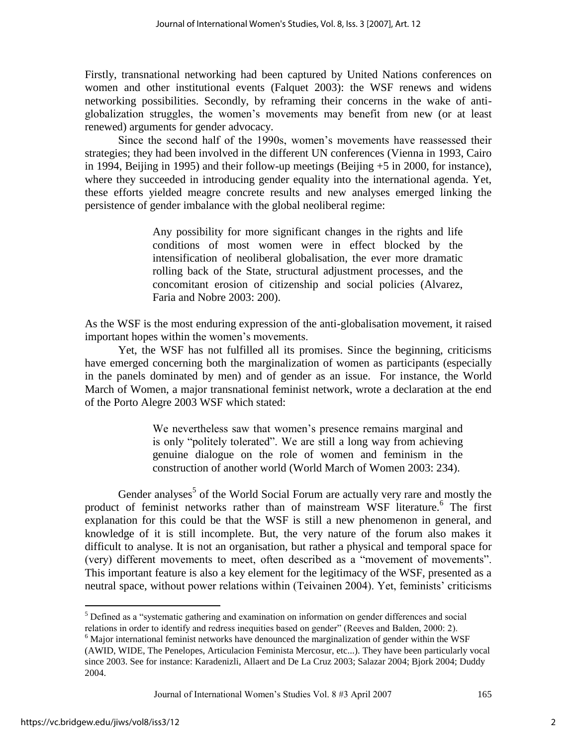Firstly, transnational networking had been captured by United Nations conferences on women and other institutional events (Falquet 2003): the WSF renews and widens networking possibilities. Secondly, by reframing their concerns in the wake of antiglobalization struggles, the women"s movements may benefit from new (or at least renewed) arguments for gender advocacy.

Since the second half of the 1990s, women"s movements have reassessed their strategies; they had been involved in the different UN conferences (Vienna in 1993, Cairo in 1994, Beijing in 1995) and their follow-up meetings (Beijing +5 in 2000, for instance), where they succeeded in introducing gender equality into the international agenda. Yet, these efforts yielded meagre concrete results and new analyses emerged linking the persistence of gender imbalance with the global neoliberal regime:

> Any possibility for more significant changes in the rights and life conditions of most women were in effect blocked by the intensification of neoliberal globalisation, the ever more dramatic rolling back of the State, structural adjustment processes, and the concomitant erosion of citizenship and social policies (Alvarez, Faria and Nobre 2003: 200).

As the WSF is the most enduring expression of the anti-globalisation movement, it raised important hopes within the women"s movements.

Yet, the WSF has not fulfilled all its promises. Since the beginning, criticisms have emerged concerning both the marginalization of women as participants (especially in the panels dominated by men) and of gender as an issue. For instance, the World March of Women, a major transnational feminist network, wrote a declaration at the end of the Porto Alegre 2003 WSF which stated:

> We nevertheless saw that women's presence remains marginal and is only "politely tolerated". We are still a long way from achieving genuine dialogue on the role of women and feminism in the construction of another world (World March of Women 2003: 234).

Gender analyses<sup>5</sup> of the World Social Forum are actually very rare and mostly the product of feminist networks rather than of mainstream WSF literature.<sup>6</sup> The first explanation for this could be that the WSF is still a new phenomenon in general, and knowledge of it is still incomplete. But, the very nature of the forum also makes it difficult to analyse. It is not an organisation, but rather a physical and temporal space for (very) different movements to meet, often described as a "movement of movements". This important feature is also a key element for the legitimacy of the WSF, presented as a neutral space, without power relations within (Teivainen 2004). Yet, feminists' criticisms

<sup>&</sup>lt;sup>5</sup> Defined as a "systematic gathering and examination on information on gender differences and social relations in order to identify and redress inequities based on gender" (Reeves and Balden, 2000: 2).

 $<sup>6</sup>$  Major international feminist networks have denounced the marginalization of gender within the WSF</sup>

<sup>(</sup>AWID, WIDE, The Penelopes, Articulacion Feminista Mercosur, etc...). They have been particularly vocal since 2003. See for instance: Karadenizli, Allaert and De La Cruz 2003; Salazar 2004; Bjork 2004; Duddy 2004.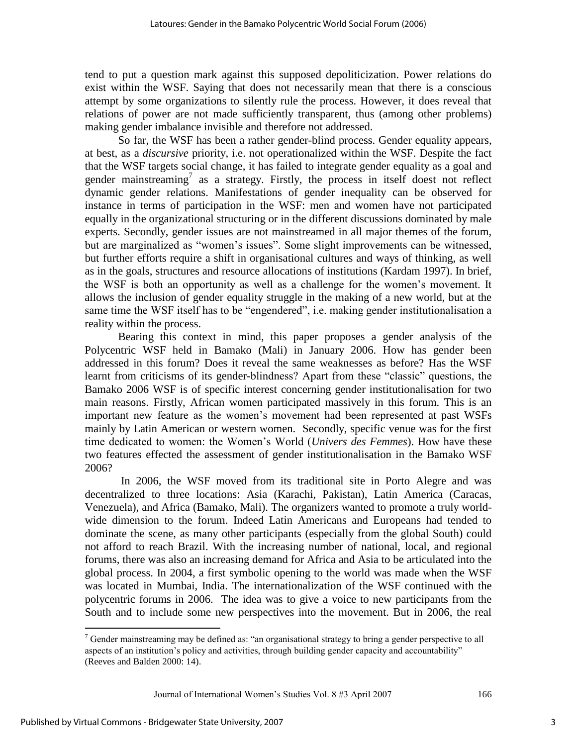tend to put a question mark against this supposed depoliticization. Power relations do exist within the WSF. Saying that does not necessarily mean that there is a conscious attempt by some organizations to silently rule the process. However, it does reveal that relations of power are not made sufficiently transparent, thus (among other problems) making gender imbalance invisible and therefore not addressed.

So far, the WSF has been a rather gender-blind process. Gender equality appears, at best, as a *discursive* priority, i.e. not operationalized within the WSF. Despite the fact that the WSF targets social change, it has failed to integrate gender equality as a goal and gender mainstreaming<sup>7</sup> as a strategy. Firstly, the process in itself doest not reflect dynamic gender relations. Manifestations of gender inequality can be observed for instance in terms of participation in the WSF: men and women have not participated equally in the organizational structuring or in the different discussions dominated by male experts. Secondly, gender issues are not mainstreamed in all major themes of the forum, but are marginalized as "women"s issues". Some slight improvements can be witnessed, but further efforts require a shift in organisational cultures and ways of thinking, as well as in the goals, structures and resource allocations of institutions (Kardam 1997). In brief, the WSF is both an opportunity as well as a challenge for the women"s movement. It allows the inclusion of gender equality struggle in the making of a new world, but at the same time the WSF itself has to be "engendered", i.e. making gender institutionalisation a reality within the process.

Bearing this context in mind, this paper proposes a gender analysis of the Polycentric WSF held in Bamako (Mali) in January 2006. How has gender been addressed in this forum? Does it reveal the same weaknesses as before? Has the WSF learnt from criticisms of its gender-blindness? Apart from these "classic" questions, the Bamako 2006 WSF is of specific interest concerning gender institutionalisation for two main reasons. Firstly, African women participated massively in this forum. This is an important new feature as the women"s movement had been represented at past WSFs mainly by Latin American or western women. Secondly, specific venue was for the first time dedicated to women: the Women"s World (*Univers des Femmes*). How have these two features effected the assessment of gender institutionalisation in the Bamako WSF 2006?

In 2006, the WSF moved from its traditional site in Porto Alegre and was decentralized to three locations: Asia (Karachi, Pakistan), Latin America (Caracas, Venezuela), and Africa (Bamako, Mali). The organizers wanted to promote a truly worldwide dimension to the forum. Indeed Latin Americans and Europeans had tended to dominate the scene, as many other participants (especially from the global South) could not afford to reach Brazil. With the increasing number of national, local, and regional forums, there was also an increasing demand for Africa and Asia to be articulated into the global process. In 2004, a first symbolic opening to the world was made when the WSF was located in Mumbai, India. The internationalization of the WSF continued with the polycentric forums in 2006. The idea was to give a voice to new participants from the South and to include some new perspectives into the movement. But in 2006, the real

Journal of International Women"s Studies Vol. 8 #3 April 2007 166

<sup>&</sup>lt;sup>7</sup> Gender mainstreaming may be defined as: "an organisational strategy to bring a gender perspective to all aspects of an institution"s policy and activities, through building gender capacity and accountability" (Reeves and Balden 2000: 14).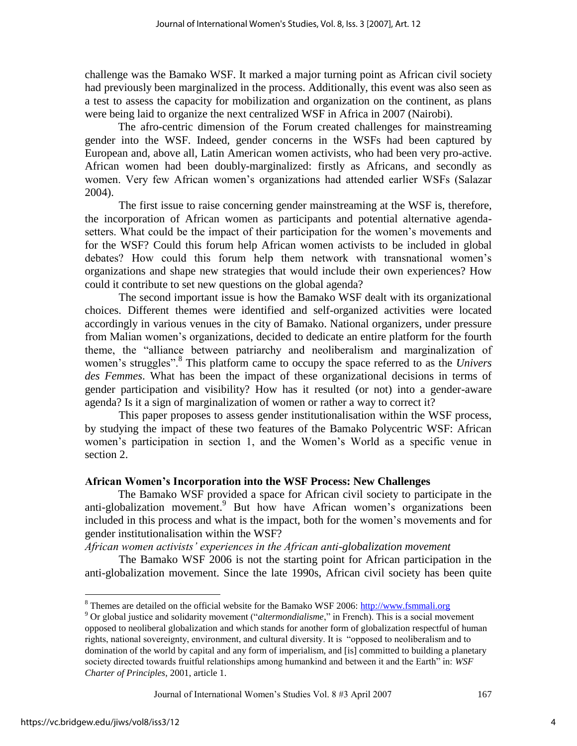challenge was the Bamako WSF. It marked a major turning point as African civil society had previously been marginalized in the process. Additionally, this event was also seen as a test to assess the capacity for mobilization and organization on the continent, as plans were being laid to organize the next centralized WSF in Africa in 2007 (Nairobi).

The afro-centric dimension of the Forum created challenges for mainstreaming gender into the WSF. Indeed, gender concerns in the WSFs had been captured by European and, above all, Latin American women activists, who had been very pro-active. African women had been doubly-marginalized: firstly as Africans, and secondly as women. Very few African women"s organizations had attended earlier WSFs (Salazar 2004).

 The first issue to raise concerning gender mainstreaming at the WSF is, therefore, the incorporation of African women as participants and potential alternative agendasetters. What could be the impact of their participation for the women"s movements and for the WSF? Could this forum help African women activists to be included in global debates? How could this forum help them network with transnational women"s organizations and shape new strategies that would include their own experiences? How could it contribute to set new questions on the global agenda?

 The second important issue is how the Bamako WSF dealt with its organizational choices. Different themes were identified and self-organized activities were located accordingly in various venues in the city of Bamako. National organizers, under pressure from Malian women"s organizations, decided to dedicate an entire platform for the fourth theme, the "alliance between patriarchy and neoliberalism and marginalization of women's struggles".<sup>8</sup> This platform came to occupy the space referred to as the *Univers des Femmes*. What has been the impact of these organizational decisions in terms of gender participation and visibility? How has it resulted (or not) into a gender-aware agenda? Is it a sign of marginalization of women or rather a way to correct it?

 This paper proposes to assess gender institutionalisation within the WSF process, by studying the impact of these two features of the Bamako Polycentric WSF: African women"s participation in section 1, and the Women"s World as a specific venue in section 2.

#### **African Women"s Incorporation into the WSF Process: New Challenges**

The Bamako WSF provided a space for African civil society to participate in the anti-globalization movement.<sup>9</sup> But how have African women's organizations been included in this process and what is the impact, both for the women"s movements and for gender institutionalisation within the WSF?

*African women activists' experiences in the African anti-globalization movement* 

 The Bamako WSF 2006 is not the starting point for African participation in the anti-globalization movement. Since the late 1990s, African civil society has been quite

Journal of International Women"s Studies Vol. 8 #3 April 2007 167

<sup>&</sup>lt;sup>8</sup> Themes are detailed on the official website for the Bamako WSF 2006: [http://www.fsmmali.org](http://www.fsm.org/)

<sup>9</sup> Or global justice and solidarity movement ("*altermondialisme*," in French). This is a social movement opposed to neoliberal globalization and which stands for another form of globalization respectful of human rights, national sovereignty, environment, and cultural diversity. It is "opposed to neoliberalism and to domination of the world by capital and any form of imperialism, and [is] committed to building a planetary society directed towards fruitful relationships among humankind and between it and the Earth" in: *WSF Charter of Principles*, 2001, article 1.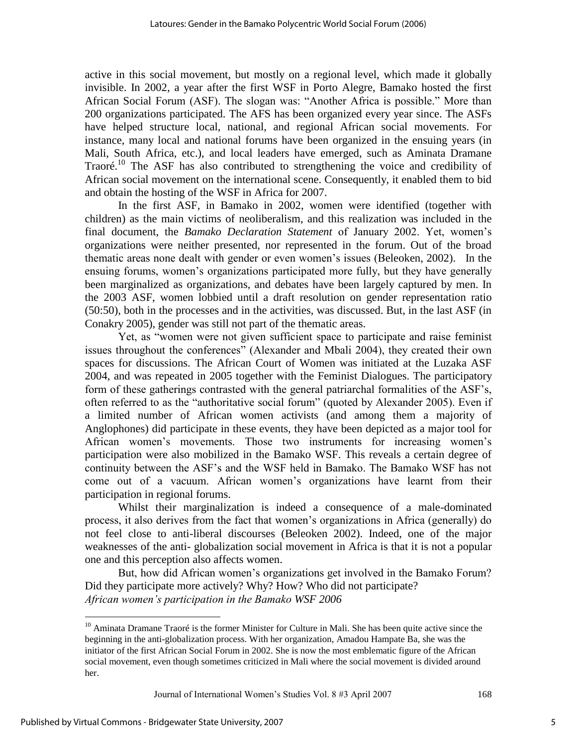active in this social movement, but mostly on a regional level, which made it globally invisible. In 2002, a year after the first WSF in Porto Alegre, Bamako hosted the first African Social Forum (ASF). The slogan was: "Another Africa is possible." More than 200 organizations participated. The AFS has been organized every year since. The ASFs have helped structure local, national, and regional African social movements. For instance, many local and national forums have been organized in the ensuing years (in Mali, South Africa, etc.), and local leaders have emerged, such as Aminata Dramane Traoré.<sup>10</sup> The ASF has also contributed to strengthening the voice and credibility of African social movement on the international scene. Consequently, it enabled them to bid and obtain the hosting of the WSF in Africa for 2007.

In the first ASF, in Bamako in 2002, women were identified (together with children) as the main victims of neoliberalism, and this realization was included in the final document, the *Bamako Declaration Statement* of January 2002. Yet, women"s organizations were neither presented, nor represented in the forum. Out of the broad thematic areas none dealt with gender or even women"s issues (Beleoken, 2002). In the ensuing forums, women's organizations participated more fully, but they have generally been marginalized as organizations, and debates have been largely captured by men. In the 2003 ASF, women lobbied until a draft resolution on gender representation ratio (50:50), both in the processes and in the activities, was discussed. But, in the last ASF (in Conakry 2005), gender was still not part of the thematic areas.

Yet, as "women were not given sufficient space to participate and raise feminist issues throughout the conferences" (Alexander and Mbali 2004), they created their own spaces for discussions. The African Court of Women was initiated at the Luzaka ASF 2004, and was repeated in 2005 together with the Feminist Dialogues. The participatory form of these gatherings contrasted with the general patriarchal formalities of the ASF"s, often referred to as the "authoritative social forum" (quoted by Alexander 2005). Even if a limited number of African women activists (and among them a majority of Anglophones) did participate in these events, they have been depicted as a major tool for African women"s movements. Those two instruments for increasing women"s participation were also mobilized in the Bamako WSF. This reveals a certain degree of continuity between the ASF"s and the WSF held in Bamako. The Bamako WSF has not come out of a vacuum. African women"s organizations have learnt from their participation in regional forums.

Whilst their marginalization is indeed a consequence of a male-dominated process, it also derives from the fact that women"s organizations in Africa (generally) do not feel close to anti-liberal discourses (Beleoken 2002). Indeed, one of the major weaknesses of the anti- globalization social movement in Africa is that it is not a popular one and this perception also affects women.

But, how did African women"s organizations get involved in the Bamako Forum? Did they participate more actively? Why? How? Who did not participate? *African women's participation in the Bamako WSF 2006* 

<sup>&</sup>lt;sup>10</sup> Aminata Dramane Traoré is the former Minister for Culture in Mali. She has been quite active since the beginning in the anti-globalization process. With her organization, Amadou Hampate Ba, she was the initiator of the first African Social Forum in 2002. She is now the most emblematic figure of the African social movement, even though sometimes criticized in Mali where the social movement is divided around her.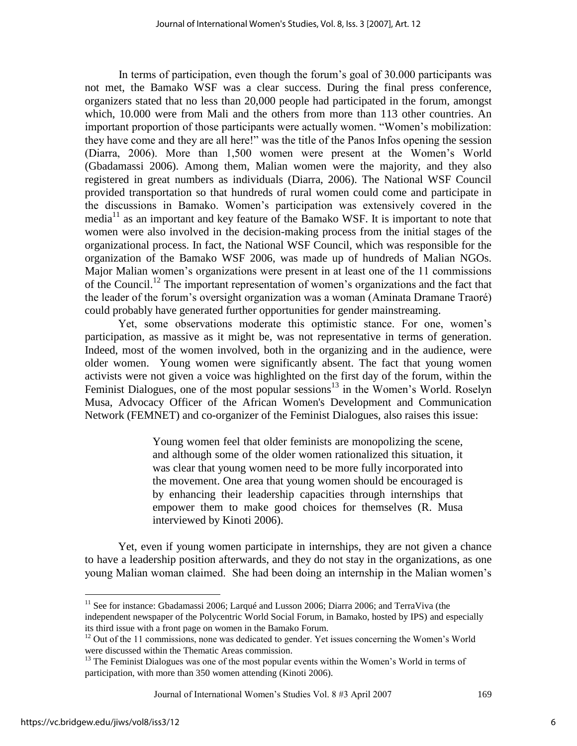In terms of participation, even though the forum"s goal of 30.000 participants was not met, the Bamako WSF was a clear success. During the final press conference, organizers stated that no less than 20,000 people had participated in the forum, amongst which, 10.000 were from Mali and the others from more than 113 other countries. An important proportion of those participants were actually women. "Women"s mobilization: they have come and they are all here!" was the title of the Panos Infos opening the session (Diarra, 2006). More than 1,500 women were present at the Women"s World (Gbadamassi 2006). Among them, Malian women were the majority, and they also registered in great numbers as individuals (Diarra, 2006). The National WSF Council provided transportation so that hundreds of rural women could come and participate in the discussions in Bamako. Women"s participation was extensively covered in the media<sup>11</sup> as an important and key feature of the Bamako WSF. It is important to note that women were also involved in the decision-making process from the initial stages of the organizational process. In fact, the National WSF Council, which was responsible for the organization of the Bamako WSF 2006, was made up of hundreds of Malian NGOs. Major Malian women"s organizations were present in at least one of the 11 commissions of the Council.<sup>12</sup> The important representation of women"s organizations and the fact that the leader of the forum"s oversight organization was a woman (Aminata Dramane Traoré) could probably have generated further opportunities for gender mainstreaming.

Yet, some observations moderate this optimistic stance. For one, women"s participation, as massive as it might be, was not representative in terms of generation. Indeed, most of the women involved, both in the organizing and in the audience, were older women. Young women were significantly absent. The fact that young women activists were not given a voice was highlighted on the first day of the forum, within the Feminist Dialogues, one of the most popular sessions<sup>13</sup> in the Women's World. Roselyn Musa, Advocacy Officer of the African Women's Development and Communication Network (FEMNET) and co-organizer of the Feminist Dialogues, also raises this issue:

> Young women feel that older feminists are monopolizing the scene, and although some of the older women rationalized this situation, it was clear that young women need to be more fully incorporated into the movement. One area that young women should be encouraged is by enhancing their leadership capacities through internships that empower them to make good choices for themselves (R. Musa interviewed by Kinoti 2006).

Yet, even if young women participate in internships, they are not given a chance to have a leadership position afterwards, and they do not stay in the organizations, as one young Malian woman claimed. She had been doing an internship in the Malian women"s

Journal of International Women"s Studies Vol. 8 #3 April 2007 169

 $\overline{a}$ 

6

<sup>&</sup>lt;sup>11</sup> See for instance: Gbadamassi 2006; Larqué and Lusson 2006; Diarra 2006; and TerraViva (the independent newspaper of the Polycentric World Social Forum, in Bamako, hosted by IPS) and especially its third issue with a front page on women in the Bamako Forum.

<sup>&</sup>lt;sup>12</sup> Out of the 11 commissions, none was dedicated to gender. Yet issues concerning the Women's World were discussed within the Thematic Areas commission.

<sup>&</sup>lt;sup>13</sup> The Feminist Dialogues was one of the most popular events within the Women's World in terms of participation, with more than 350 women attending (Kinoti 2006).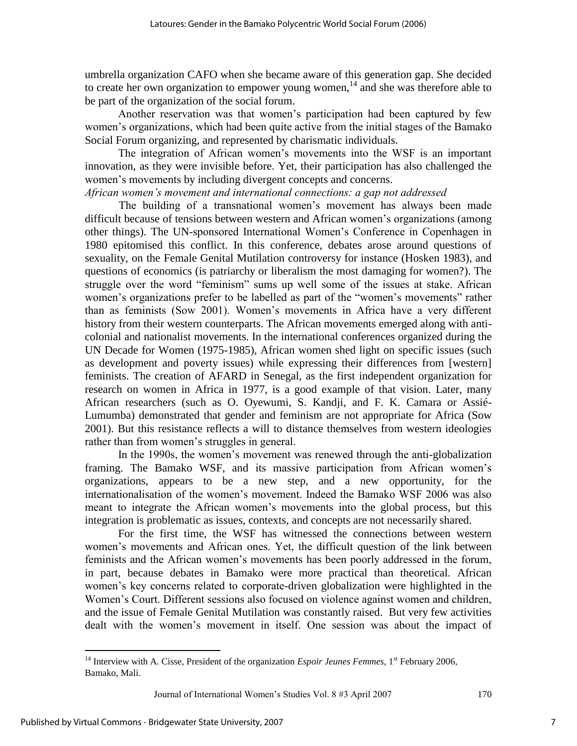umbrella organization CAFO when she became aware of this generation gap. She decided to create her own organization to empower young women,<sup>14</sup> and she was therefore able to be part of the organization of the social forum.

Another reservation was that women"s participation had been captured by few women"s organizations, which had been quite active from the initial stages of the Bamako Social Forum organizing, and represented by charismatic individuals.

The integration of African women"s movements into the WSF is an important innovation, as they were invisible before. Yet, their participation has also challenged the women"s movements by including divergent concepts and concerns.

# *African women's movement and international connections: a gap not addressed*

The building of a transnational women"s movement has always been made difficult because of tensions between western and African women"s organizations (among other things). The UN-sponsored International Women"s Conference in Copenhagen in 1980 epitomised this conflict. In this conference, debates arose around questions of sexuality, on the Female Genital Mutilation controversy for instance (Hosken 1983), and questions of economics (is patriarchy or liberalism the most damaging for women?). The struggle over the word "feminism" sums up well some of the issues at stake. African women"s organizations prefer to be labelled as part of the "women"s movements" rather than as feminists (Sow 2001). Women"s movements in Africa have a very different history from their western counterparts. The African movements emerged along with anticolonial and nationalist movements. In the international conferences organized during the UN Decade for Women (1975-1985), African women shed light on specific issues (such as development and poverty issues) while expressing their differences from [western] feminists. The creation of AFARD in Senegal, as the first independent organization for research on women in Africa in 1977, is a good example of that vision. Later, many African researchers (such as O. Oyewumi, S. Kandji, and F. K. Camara or Assié-Lumumba) demonstrated that gender and feminism are not appropriate for Africa (Sow 2001). But this resistance reflects a will to distance themselves from western ideologies rather than from women's struggles in general.

In the 1990s, the women"s movement was renewed through the anti-globalization framing. The Bamako WSF, and its massive participation from African women"s organizations, appears to be a new step, and a new opportunity, for the internationalisation of the women"s movement. Indeed the Bamako WSF 2006 was also meant to integrate the African women"s movements into the global process, but this integration is problematic as issues, contexts, and concepts are not necessarily shared.

For the first time, the WSF has witnessed the connections between western women"s movements and African ones. Yet, the difficult question of the link between feminists and the African women"s movements has been poorly addressed in the forum, in part, because debates in Bamako were more practical than theoretical. African women"s key concerns related to corporate-driven globalization were highlighted in the Women"s Court. Different sessions also focused on violence against women and children, and the issue of Female Genital Mutilation was constantly raised. But very few activities dealt with the women"s movement in itself. One session was about the impact of

Journal of International Women's Studies Vol. 8 #3 April 2007 170

<sup>&</sup>lt;sup>14</sup> Interview with A. Cisse, President of the organization *Espoir Jeunes Femmes*, 1<sup>st</sup> February 2006, Bamako, Mali.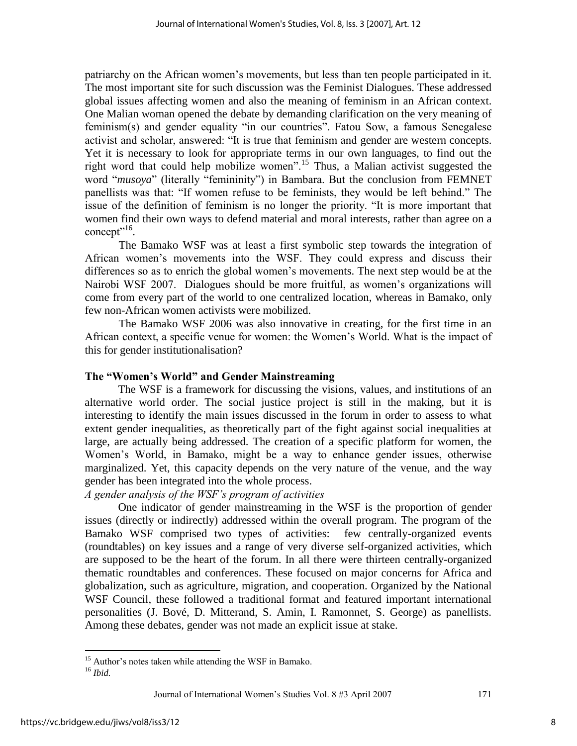patriarchy on the African women"s movements, but less than ten people participated in it. The most important site for such discussion was the Feminist Dialogues. These addressed global issues affecting women and also the meaning of feminism in an African context. One Malian woman opened the debate by demanding clarification on the very meaning of feminism(s) and gender equality "in our countries". Fatou Sow, a famous Senegalese activist and scholar, answered: "It is true that feminism and gender are western concepts. Yet it is necessary to look for appropriate terms in our own languages, to find out the right word that could help mobilize women".<sup>15</sup> Thus, a Malian activist suggested the word "*musoya*" (literally "femininity") in Bambara. But the conclusion from FEMNET panellists was that: "If women refuse to be feminists, they would be left behind." The issue of the definition of feminism is no longer the priority. "It is more important that women find their own ways to defend material and moral interests, rather than agree on a concept"<sup>16</sup>.

 The Bamako WSF was at least a first symbolic step towards the integration of African women"s movements into the WSF. They could express and discuss their differences so as to enrich the global women"s movements. The next step would be at the Nairobi WSF 2007. Dialogues should be more fruitful, as women"s organizations will come from every part of the world to one centralized location, whereas in Bamako, only few non-African women activists were mobilized.

The Bamako WSF 2006 was also innovative in creating, for the first time in an African context, a specific venue for women: the Women"s World. What is the impact of this for gender institutionalisation?

# **The "Women"s World" and Gender Mainstreaming**

The WSF is a framework for discussing the visions, values, and institutions of an alternative world order. The social justice project is still in the making, but it is interesting to identify the main issues discussed in the forum in order to assess to what extent gender inequalities, as theoretically part of the fight against social inequalities at large, are actually being addressed. The creation of a specific platform for women, the Women"s World, in Bamako, might be a way to enhance gender issues, otherwise marginalized. Yet, this capacity depends on the very nature of the venue, and the way gender has been integrated into the whole process.

# *A gender analysis of the WSF's program of activities*

One indicator of gender mainstreaming in the WSF is the proportion of gender issues (directly or indirectly) addressed within the overall program. The program of the Bamako WSF comprised two types of activities: few centrally-organized events (roundtables) on key issues and a range of very diverse self-organized activities, which are supposed to be the heart of the forum. In all there were thirteen centrally-organized thematic roundtables and conferences. These focused on major concerns for Africa and globalization, such as agriculture, migration, and cooperation. Organized by the National WSF Council, these followed a traditional format and featured important international personalities (J. Bové, D. Mitterand, S. Amin, I. Ramonnet, S. George) as panellists. Among these debates, gender was not made an explicit issue at stake.

<sup>&</sup>lt;sup>15</sup> Author's notes taken while attending the WSF in Bamako.

<sup>16</sup> *Ibid.*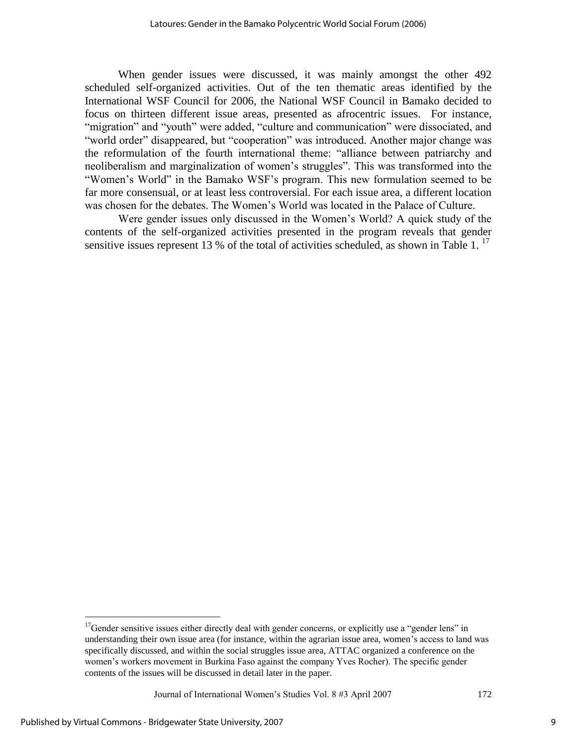When gender issues were discussed, it was mainly amongst the other 492 scheduled self-organized activities. Out of the ten thematic areas identified by the International WSF Council for 2006, the National WSF Council in Bamako decided to focus on thirteen different issue areas, presented as afrocentric issues. For instance, "migration" and "youth" were added, "culture and communication" were dissociated, and "world order" disappeared, but "cooperation" was introduced. Another major change was the reformulation of the fourth international theme: "alliance between patriarchy and neoliberalism and marginalization of women"s struggles". This was transformed into the "Women"s World" in the Bamako WSF"s program. This new formulation seemed to be far more consensual, or at least less controversial. For each issue area, a different location was chosen for the debates. The Women"s World was located in the Palace of Culture.

Were gender issues only discussed in the Women"s World? A quick study of the contents of the self-organized activities presented in the program reveals that gender sensitive issues represent 13 % of the total of activities scheduled, as shown in Table 1.<sup>17</sup>

Journal of International Women"s Studies Vol. 8 #3 April 2007 172

<sup>&</sup>lt;sup>17</sup>Gender sensitive issues either directly deal with gender concerns, or explicitly use a "gender lens" in understanding their own issue area (for instance, within the agrarian issue area, women"s access to land was specifically discussed, and within the social struggles issue area, ATTAC organized a conference on the women"s workers movement in Burkina Faso against the company Yves Rocher). The specific gender contents of the issues will be discussed in detail later in the paper.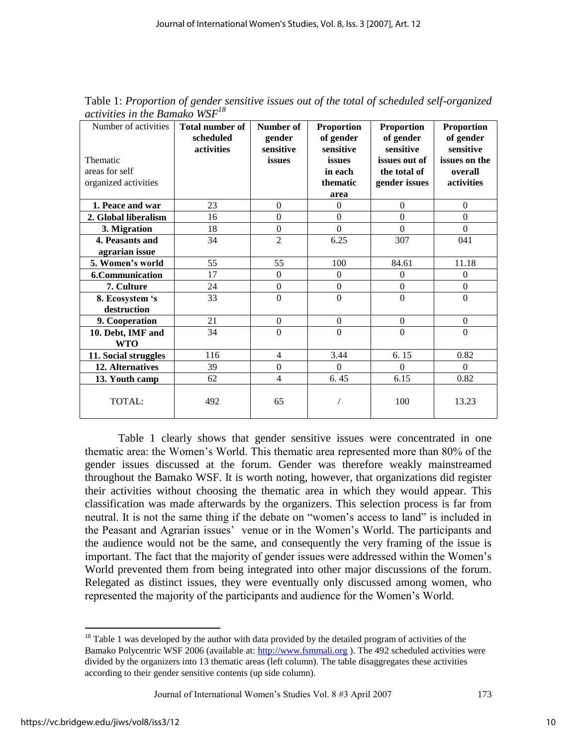| Number of activities<br>Thematic<br>areas for self<br>organized activities | <b>Total number of</b><br>scheduled<br>activities | Number of<br>gender<br>sensitive<br>issues | <b>Proportion</b><br>of gender<br>sensitive<br>issues<br>in each<br>thematic<br>area | <b>Proportion</b><br>of gender<br>sensitive<br>issues out of<br>the total of<br>gender issues | <b>Proportion</b><br>of gender<br>sensitive<br>issues on the<br>overall<br>activities |
|----------------------------------------------------------------------------|---------------------------------------------------|--------------------------------------------|--------------------------------------------------------------------------------------|-----------------------------------------------------------------------------------------------|---------------------------------------------------------------------------------------|
| 1. Peace and war                                                           | 23                                                | $\Omega$                                   | $\mathbf{0}$                                                                         | $\theta$                                                                                      | $\mathbf{0}$                                                                          |
| 2. Global liberalism                                                       | 16                                                | $\Omega$                                   | $\overline{0}$                                                                       | $\Omega$                                                                                      | $\Omega$                                                                              |
| 3. Migration                                                               | 18                                                | $\overline{0}$                             | $\overline{0}$                                                                       | $\Omega$                                                                                      | $\Omega$                                                                              |
| 4. Peasants and                                                            | 34                                                | $\overline{2}$                             | 6.25                                                                                 | 307                                                                                           | 041                                                                                   |
| agrarian issue                                                             |                                                   |                                            |                                                                                      |                                                                                               |                                                                                       |
| 5. Women's world                                                           | 55                                                | 55                                         | 100                                                                                  | 84.61                                                                                         | 11.18                                                                                 |
| <b>6.Communication</b>                                                     | 17                                                | $\Omega$                                   | $\mathbf{0}$                                                                         | $\theta$                                                                                      | $\Omega$                                                                              |
| 7. Culture                                                                 | 24                                                | $\boldsymbol{0}$                           | $\boldsymbol{0}$                                                                     | $\boldsymbol{0}$                                                                              | $\boldsymbol{0}$                                                                      |
| 8. Ecosystem 's                                                            | 33                                                | $\overline{0}$                             | $\overline{0}$                                                                       | $\overline{0}$                                                                                | $\overline{0}$                                                                        |
| destruction                                                                |                                                   |                                            |                                                                                      |                                                                                               |                                                                                       |
| 9. Cooperation                                                             | 21                                                | $\boldsymbol{0}$                           | $\mathbf{0}$                                                                         | $\boldsymbol{0}$                                                                              | $\Omega$                                                                              |
| 10. Debt, IMF and<br><b>WTO</b>                                            | 34                                                | $\boldsymbol{0}$                           | $\mathbf{0}$                                                                         | $\boldsymbol{0}$                                                                              | $\boldsymbol{0}$                                                                      |
| 11. Social struggles                                                       | 116                                               | $\overline{4}$                             | 3.44                                                                                 | 6.15                                                                                          | 0.82                                                                                  |
| 12. Alternatives                                                           | 39                                                | $\boldsymbol{0}$                           | $\theta$                                                                             | $\Omega$                                                                                      | $\Omega$                                                                              |
| 13. Youth camp                                                             | 62                                                | $\overline{4}$                             | 6.45                                                                                 | 6.15                                                                                          | 0.82                                                                                  |
| TOTAL:                                                                     | 492                                               | 65                                         |                                                                                      | 100                                                                                           | 13.23                                                                                 |

Table 1: *Proportion of gender sensitive issues out of the total of scheduled self-organized activities in the Bamako WSF<sup>18</sup>*

Table 1 clearly shows that gender sensitive issues were concentrated in one thematic area: the Women"s World. This thematic area represented more than 80% of the gender issues discussed at the forum. Gender was therefore weakly mainstreamed throughout the Bamako WSF. It is worth noting, however, that organizations did register their activities without choosing the thematic area in which they would appear. This classification was made afterwards by the organizers. This selection process is far from neutral. It is not the same thing if the debate on "women"s access to land" is included in the Peasant and Agrarian issues" venue or in the Women"s World. The participants and the audience would not be the same, and consequently the very framing of the issue is important. The fact that the majority of gender issues were addressed within the Women"s World prevented them from being integrated into other major discussions of the forum. Relegated as distinct issues, they were eventually only discussed among women, who represented the majority of the participants and audience for the Women"s World.

Journal of International Women"s Studies Vol. 8 #3 April 2007 173

 $18$  Table 1 was developed by the author with data provided by the detailed program of activities of the Bamako Polycentric WSF 2006 (available at: [http://www.fsmmali.org](http://www.fsmmali.org/) ). The 492 scheduled activities were divided by the organizers into 13 thematic areas (left column). The table disaggregates these activities according to their gender sensitive contents (up side column).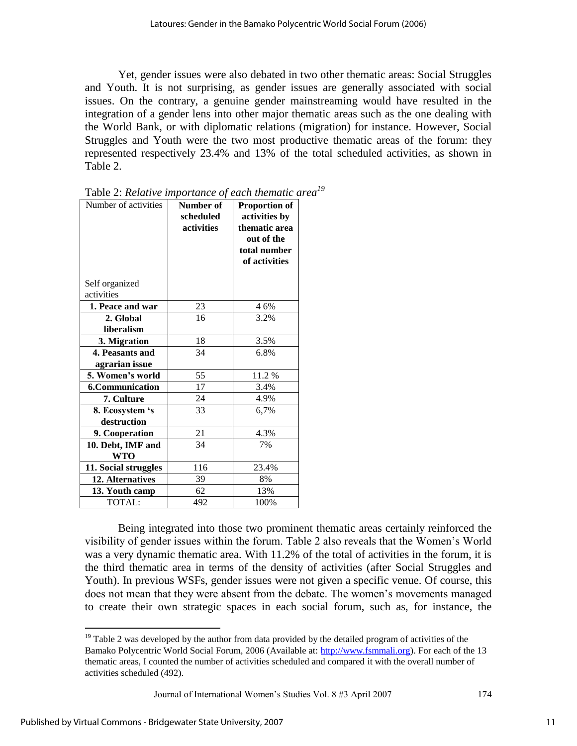Yet, gender issues were also debated in two other thematic areas: Social Struggles and Youth. It is not surprising, as gender issues are generally associated with social issues. On the contrary, a genuine gender mainstreaming would have resulted in the integration of a gender lens into other major thematic areas such as the one dealing with the World Bank, or with diplomatic relations (migration) for instance. However, Social Struggles and Youth were the two most productive thematic areas of the forum: they represented respectively 23.4% and 13% of the total scheduled activities, as shown in Table 2.

| Number of activities   | Number of<br>scheduled<br>activities | <b>Proportion of</b><br>activities by<br>thematic area<br>out of the<br>total number<br>of activities |
|------------------------|--------------------------------------|-------------------------------------------------------------------------------------------------------|
| Self organized         |                                      |                                                                                                       |
| activities             |                                      |                                                                                                       |
| 1. Peace and war       | 23                                   | 4 6%                                                                                                  |
| 2. Global              | 16                                   | 3.2%                                                                                                  |
| liberalism             |                                      |                                                                                                       |
| 3. Migration           | 18                                   | 3.5%                                                                                                  |
| 4. Peasants and        | 34                                   | 6.8%                                                                                                  |
| agrarian issue         |                                      |                                                                                                       |
| 5. Women's world       | 55                                   | 11.2 %                                                                                                |
| <b>6.Communication</b> | 17                                   | 3.4%                                                                                                  |
| 7. Culture             | 24                                   | 4.9%                                                                                                  |
| 8. Ecosystem 's        | 33                                   | 6,7%                                                                                                  |
| destruction            |                                      |                                                                                                       |
| 9. Cooperation         | 21                                   | 4.3%                                                                                                  |
| 10. Debt, IMF and      | 34                                   | 7%                                                                                                    |
| <b>WTO</b>             |                                      |                                                                                                       |
| 11. Social struggles   | 116                                  | 23.4%                                                                                                 |
| 12. Alternatives       | 39                                   | 8%                                                                                                    |
| 13. Youth camp         | 62                                   | 13%                                                                                                   |
| TOTAL:                 | 492                                  | 100%                                                                                                  |

Table 2: *Relative importance of each thematic area<sup>19</sup>*

Being integrated into those two prominent thematic areas certainly reinforced the visibility of gender issues within the forum. Table 2 also reveals that the Women"s World was a very dynamic thematic area. With 11.2% of the total of activities in the forum, it is the third thematic area in terms of the density of activities (after Social Struggles and Youth). In previous WSFs, gender issues were not given a specific venue. Of course, this does not mean that they were absent from the debate. The women"s movements managed to create their own strategic spaces in each social forum, such as, for instance, the

Journal of International Women"s Studies Vol. 8 #3 April 2007 174

 $19$  Table 2 was developed by the author from data provided by the detailed program of activities of the Bamako Polycentric World Social Forum, 2006 (Available at: [http://www.fsmmali.org\)](http://www.fsmmali.org/). For each of the 13 thematic areas, I counted the number of activities scheduled and compared it with the overall number of activities scheduled (492).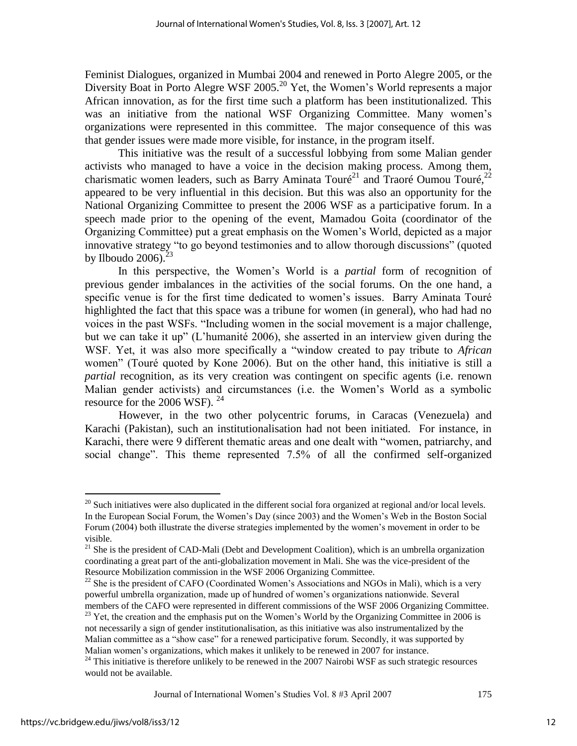Feminist Dialogues, organized in Mumbai 2004 and renewed in Porto Alegre 2005, or the Diversity Boat in Porto Alegre WSF 2005.<sup>20</sup> Yet, the Women's World represents a major African innovation, as for the first time such a platform has been institutionalized. This was an initiative from the national WSF Organizing Committee. Many women"s organizations were represented in this committee. The major consequence of this was that gender issues were made more visible, for instance, in the program itself.

This initiative was the result of a successful lobbying from some Malian gender activists who managed to have a voice in the decision making process. Among them, charismatic women leaders, such as Barry Aminata Touré<sup>21</sup> and Traoré Oumou Touré,<sup>22</sup> appeared to be very influential in this decision. But this was also an opportunity for the National Organizing Committee to present the 2006 WSF as a participative forum. In a speech made prior to the opening of the event, Mamadou Goita (coordinator of the Organizing Committee) put a great emphasis on the Women"s World, depicted as a major innovative strategy "to go beyond testimonies and to allow thorough discussions" (quoted by Ilboudo 2006). $^{2}$ 

In this perspective, the Women"s World is a *partial* form of recognition of previous gender imbalances in the activities of the social forums. On the one hand, a specific venue is for the first time dedicated to women"s issues. Barry Aminata Touré highlighted the fact that this space was a tribune for women (in general), who had had no voices in the past WSFs. "Including women in the social movement is a major challenge, but we can take it up" (L"humanité 2006), she asserted in an interview given during the WSF. Yet, it was also more specifically a "window created to pay tribute to *African* women" (Touré quoted by Kone 2006). But on the other hand, this initiative is still a *partial* recognition, as its very creation was contingent on specific agents (i.e. renown Malian gender activists) and circumstances (i.e. the Women"s World as a symbolic resource for the 2006 WSF).  $^{24}$ 

 However, in the two other polycentric forums, in Caracas (Venezuela) and Karachi (Pakistan), such an institutionalisation had not been initiated. For instance, in Karachi, there were 9 different thematic areas and one dealt with "women, patriarchy, and social change". This theme represented 7.5% of all the confirmed self-organized

Journal of International Women"s Studies Vol. 8 #3 April 2007 175

 $^{20}$  Such initiatives were also duplicated in the different social fora organized at regional and/or local levels. In the European Social Forum, the Women"s Day (since 2003) and the Women"s Web in the Boston Social Forum (2004) both illustrate the diverse strategies implemented by the women's movement in order to be visible.

<sup>&</sup>lt;sup>21</sup> She is the president of CAD-Mali (Debt and Development Coalition), which is an umbrella organization coordinating a great part of the anti-globalization movement in Mali. She was the vice-president of the Resource Mobilization commission in the WSF 2006 Organizing Committee.

<sup>&</sup>lt;sup>22</sup> She is the president of CAFO (Coordinated Women's Associations and NGOs in Mali), which is a very powerful umbrella organization, made up of hundred of women"s organizations nationwide. Several members of the CAFO were represented in different commissions of the WSF 2006 Organizing Committee.

<sup>&</sup>lt;sup>23</sup> Yet, the creation and the emphasis put on the Women's World by the Organizing Committee in 2006 is not necessarily a sign of gender institutionalisation, as this initiative was also instrumentalized by the Malian committee as a "show case" for a renewed participative forum. Secondly, it was supported by Malian women"s organizations, which makes it unlikely to be renewed in 2007 for instance.

 $24$  This initiative is therefore unlikely to be renewed in the 2007 Nairobi WSF as such strategic resources would not be available.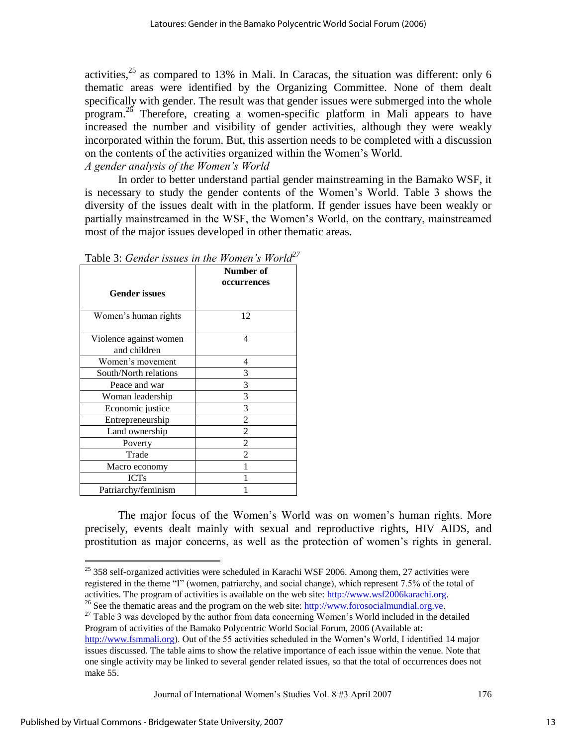activities, $25$  as compared to 13% in Mali. In Caracas, the situation was different: only 6 thematic areas were identified by the Organizing Committee. None of them dealt specifically with gender. The result was that gender issues were submerged into the whole program.<sup>26</sup> Therefore, creating a women-specific platform in Mali appears to have increased the number and visibility of gender activities, although they were weakly incorporated within the forum. But, this assertion needs to be completed with a discussion on the contents of the activities organized within the Women"s World.

*A gender analysis of the Women's World*

In order to better understand partial gender mainstreaming in the Bamako WSF, it is necessary to study the gender contents of the Women"s World. Table 3 shows the diversity of the issues dealt with in the platform. If gender issues have been weakly or partially mainstreamed in the WSF, the Women"s World, on the contrary, mainstreamed most of the major issues developed in other thematic areas.

|                                        | Number of<br>occurrences |
|----------------------------------------|--------------------------|
| <b>Gender issues</b>                   |                          |
| Women's human rights                   | 12                       |
| Violence against women<br>and children | 4                        |
| Women's movement                       | 4                        |
| South/North relations                  | 3                        |
| Peace and war                          | 3                        |
| Woman leadership                       | 3                        |
| Economic justice                       | 3                        |
| Entrepreneurship                       | 2                        |
| Land ownership                         | $\mathfrak{D}$           |
| Poverty                                | $\mathfrak{D}$           |
| Trade                                  | $\mathfrak{D}$           |
| Macro economy                          |                          |
| <b>ICTs</b>                            |                          |
| Patriarchy/feminism                    |                          |

Table 3: *Gender issues in the Women's World<sup>27</sup>*

The major focus of the Women"s World was on women"s human rights. More precisely, events dealt mainly with sexual and reproductive rights, HIV AIDS, and prostitution as major concerns, as well as the protection of women"s rights in general.

Journal of International Women's Studies Vol. 8 #3 April 2007 176

 $25$  358 self-organized activities were scheduled in Karachi WSF 2006. Among them, 27 activities were registered in the theme "I" (women, patriarchy, and social change), which represent 7.5% of the total of activities. The program of activities is available on the web site: [http://www.wsf2006karachi.org.](http://www.wsf2006karachi.org/)

<sup>&</sup>lt;sup>26</sup> See the thematic areas and the program on the web site:  $\frac{http://www.forosocialmundial.org've.}$ 

<sup>&</sup>lt;sup>27</sup> Table 3 was developed by the author from data concerning Women's World included in the detailed Program of activities of the Bamako Polycentric World Social Forum, 2006 (Available at:

[http://www.fsmmali.org\)](http://www.fsmmali.org/). Out of the 55 activities scheduled in the Women"s World, I identified 14 major issues discussed. The table aims to show the relative importance of each issue within the venue. Note that one single activity may be linked to several gender related issues, so that the total of occurrences does not make 55.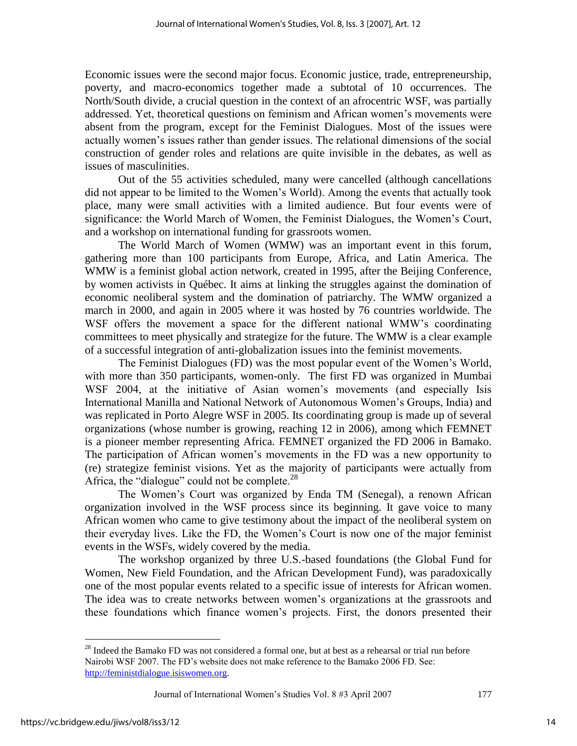Economic issues were the second major focus. Economic justice, trade, entrepreneurship, poverty, and macro-economics together made a subtotal of 10 occurrences. The North/South divide, a crucial question in the context of an afrocentric WSF, was partially addressed. Yet, theoretical questions on feminism and African women"s movements were absent from the program, except for the Feminist Dialogues. Most of the issues were actually women's issues rather than gender issues. The relational dimensions of the social construction of gender roles and relations are quite invisible in the debates, as well as issues of masculinities.

Out of the 55 activities scheduled, many were cancelled (although cancellations did not appear to be limited to the Women"s World). Among the events that actually took place, many were small activities with a limited audience. But four events were of significance: the World March of Women, the Feminist Dialogues, the Women"s Court, and a workshop on international funding for grassroots women.

The World March of Women (WMW) was an important event in this forum, gathering more than 100 participants from Europe, Africa, and Latin America. The WMW is a feminist global action network, created in 1995, after the Beijing Conference, by women activists in Québec. It aims at linking the struggles against the domination of economic neoliberal system and the domination of patriarchy. The WMW organized a march in 2000, and again in 2005 where it was hosted by 76 countries worldwide. The WSF offers the movement a space for the different national WMW"s coordinating committees to meet physically and strategize for the future. The WMW is a clear example of a successful integration of anti-globalization issues into the feminist movements.

The Feminist Dialogues (FD) was the most popular event of the Women"s World, with more than 350 participants, women-only. The first FD was organized in Mumbai WSF 2004, at the initiative of Asian women's movements (and especially Isis International Manilla and National Network of Autonomous Women"s Groups, India) and was replicated in Porto Alegre WSF in 2005. Its coordinating group is made up of several organizations (whose number is growing, reaching 12 in 2006), among which FEMNET is a pioneer member representing Africa. FEMNET organized the FD 2006 in Bamako. The participation of African women"s movements in the FD was a new opportunity to (re) strategize feminist visions. Yet as the majority of participants were actually from Africa, the "dialogue" could not be complete. $28$ 

The Women"s Court was organized by Enda TM (Senegal), a renown African organization involved in the WSF process since its beginning. It gave voice to many African women who came to give testimony about the impact of the neoliberal system on their everyday lives. Like the FD, the Women"s Court is now one of the major feminist events in the WSFs, widely covered by the media.

The workshop organized by three U.S.-based foundations (the Global Fund for Women, New Field Foundation, and the African Development Fund), was paradoxically one of the most popular events related to a specific issue of interests for African women. The idea was to create networks between women"s organizations at the grassroots and these foundations which finance women"s projects. First, the donors presented their

Journal of International Women"s Studies Vol. 8 #3 April 2007 177

<sup>&</sup>lt;sup>28</sup> Indeed the Bamako FD was not considered a formal one, but at best as a rehearsal or trial run before Nairobi WSF 2007. The FD"s website does not make reference to the Bamako 2006 FD. See: [http://feministdialogue.isiswomen.org.](http://feministdialogue.isiswomen.org/)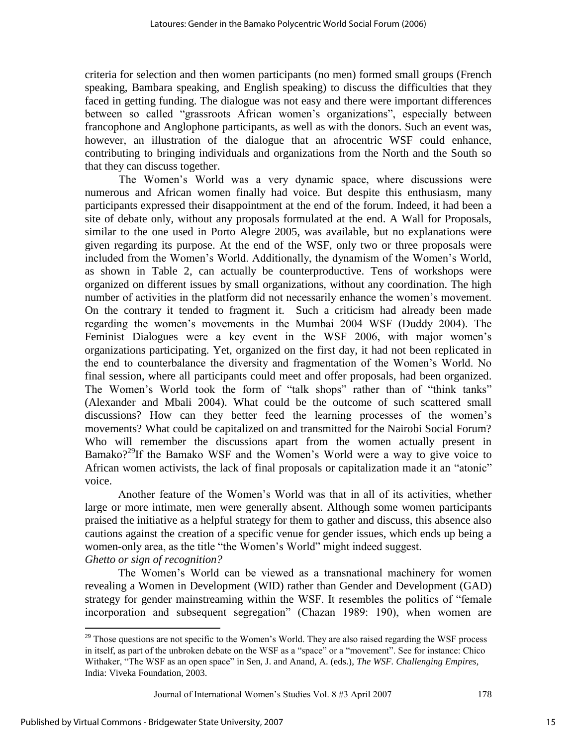criteria for selection and then women participants (no men) formed small groups (French speaking, Bambara speaking, and English speaking) to discuss the difficulties that they faced in getting funding. The dialogue was not easy and there were important differences between so called "grassroots African women's organizations", especially between francophone and Anglophone participants, as well as with the donors. Such an event was, however, an illustration of the dialogue that an afrocentric WSF could enhance, contributing to bringing individuals and organizations from the North and the South so that they can discuss together.

The Women"s World was a very dynamic space, where discussions were numerous and African women finally had voice. But despite this enthusiasm, many participants expressed their disappointment at the end of the forum. Indeed, it had been a site of debate only, without any proposals formulated at the end. A Wall for Proposals, similar to the one used in Porto Alegre 2005, was available, but no explanations were given regarding its purpose. At the end of the WSF, only two or three proposals were included from the Women"s World. Additionally, the dynamism of the Women"s World, as shown in Table 2, can actually be counterproductive. Tens of workshops were organized on different issues by small organizations, without any coordination. The high number of activities in the platform did not necessarily enhance the women's movement. On the contrary it tended to fragment it. Such a criticism had already been made regarding the women"s movements in the Mumbai 2004 WSF (Duddy 2004). The Feminist Dialogues were a key event in the WSF 2006, with major women's organizations participating. Yet, organized on the first day, it had not been replicated in the end to counterbalance the diversity and fragmentation of the Women"s World. No final session, where all participants could meet and offer proposals, had been organized. The Women's World took the form of "talk shops" rather than of "think tanks" (Alexander and Mbali 2004). What could be the outcome of such scattered small discussions? How can they better feed the learning processes of the women"s movements? What could be capitalized on and transmitted for the Nairobi Social Forum? Who will remember the discussions apart from the women actually present in Bamako?<sup>29</sup>If the Bamako WSF and the Women's World were a way to give voice to African women activists, the lack of final proposals or capitalization made it an "atonic" voice.

Another feature of the Women"s World was that in all of its activities, whether large or more intimate, men were generally absent. Although some women participants praised the initiative as a helpful strategy for them to gather and discuss, this absence also cautions against the creation of a specific venue for gender issues, which ends up being a women-only area, as the title "the Women"s World" might indeed suggest. *Ghetto or sign of recognition?* 

The Women"s World can be viewed as a transnational machinery for women revealing a Women in Development (WID) rather than Gender and Development (GAD) strategy for gender mainstreaming within the WSF. It resembles the politics of "female incorporation and subsequent segregation" (Chazan 1989: 190), when women are

Journal of International Women's Studies Vol. 8 #3 April 2007 178

 $29$  Those questions are not specific to the Women's World. They are also raised regarding the WSF process in itself, as part of the unbroken debate on the WSF as a "space" or a "movement". See for instance: Chico Withaker, "The WSF as an open space" in Sen, J. and Anand, A. (eds.), *The WSF. Challenging Empires,*  India: Viveka Foundation, 2003.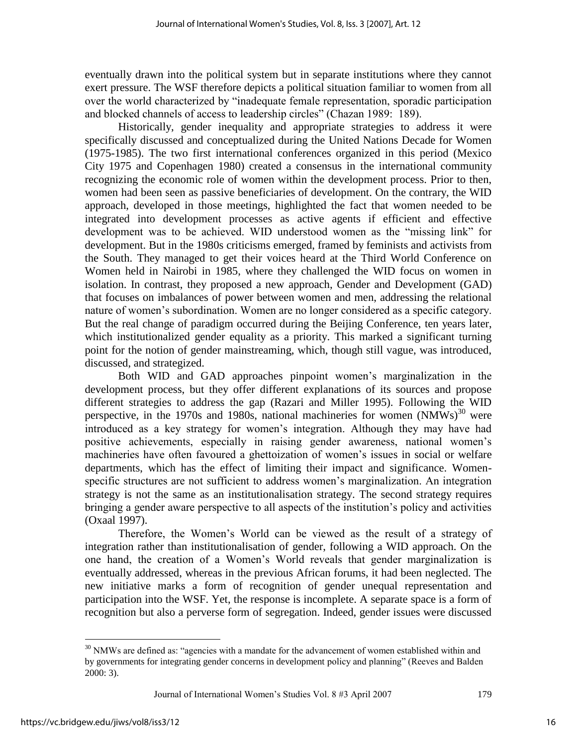eventually drawn into the political system but in separate institutions where they cannot exert pressure. The WSF therefore depicts a political situation familiar to women from all over the world characterized by "inadequate female representation, sporadic participation and blocked channels of access to leadership circles" (Chazan 1989: 189).

Historically, gender inequality and appropriate strategies to address it were specifically discussed and conceptualized during the United Nations Decade for Women (1975-1985). The two first international conferences organized in this period (Mexico City 1975 and Copenhagen 1980) created a consensus in the international community recognizing the economic role of women within the development process. Prior to then, women had been seen as passive beneficiaries of development. On the contrary, the WID approach, developed in those meetings, highlighted the fact that women needed to be integrated into development processes as active agents if efficient and effective development was to be achieved. WID understood women as the "missing link" for development. But in the 1980s criticisms emerged, framed by feminists and activists from the South. They managed to get their voices heard at the Third World Conference on Women held in Nairobi in 1985, where they challenged the WID focus on women in isolation. In contrast, they proposed a new approach, Gender and Development (GAD) that focuses on imbalances of power between women and men, addressing the relational nature of women"s subordination. Women are no longer considered as a specific category. But the real change of paradigm occurred during the Beijing Conference, ten years later, which institutionalized gender equality as a priority. This marked a significant turning point for the notion of gender mainstreaming, which, though still vague, was introduced, discussed, and strategized.

Both WID and GAD approaches pinpoint women"s marginalization in the development process, but they offer different explanations of its sources and propose different strategies to address the gap (Razari and Miller 1995). Following the WID perspective, in the 1970s and 1980s, national machineries for women  $(NMWs)^{30}$  were introduced as a key strategy for women"s integration. Although they may have had positive achievements, especially in raising gender awareness, national women"s machineries have often favoured a ghettoization of women"s issues in social or welfare departments, which has the effect of limiting their impact and significance. Womenspecific structures are not sufficient to address women's marginalization. An integration strategy is not the same as an institutionalisation strategy. The second strategy requires bringing a gender aware perspective to all aspects of the institution"s policy and activities (Oxaal 1997).

Therefore, the Women"s World can be viewed as the result of a strategy of integration rather than institutionalisation of gender, following a WID approach. On the one hand, the creation of a Women"s World reveals that gender marginalization is eventually addressed, whereas in the previous African forums, it had been neglected. The new initiative marks a form of recognition of gender unequal representation and participation into the WSF. Yet, the response is incomplete. A separate space is a form of recognition but also a perverse form of segregation. Indeed, gender issues were discussed

<sup>&</sup>lt;sup>30</sup> NMWs are defined as: "agencies with a mandate for the advancement of women established within and by governments for integrating gender concerns in development policy and planning" (Reeves and Balden 2000: 3).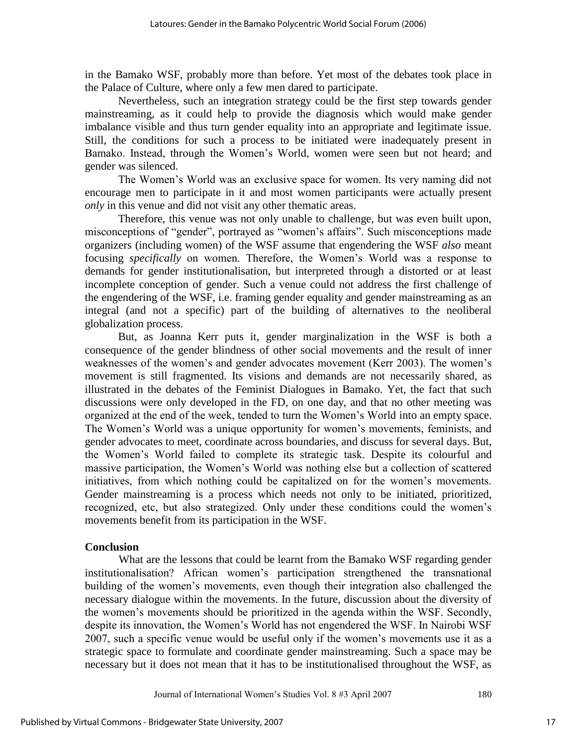in the Bamako WSF, probably more than before. Yet most of the debates took place in the Palace of Culture, where only a few men dared to participate.

Nevertheless, such an integration strategy could be the first step towards gender mainstreaming, as it could help to provide the diagnosis which would make gender imbalance visible and thus turn gender equality into an appropriate and legitimate issue. Still, the conditions for such a process to be initiated were inadequately present in Bamako. Instead, through the Women"s World, women were seen but not heard; and gender was silenced.

The Women"s World was an exclusive space for women. Its very naming did not encourage men to participate in it and most women participants were actually present *only* in this venue and did not visit any other thematic areas.

Therefore, this venue was not only unable to challenge, but was even built upon, misconceptions of "gender", portrayed as "women"s affairs". Such misconceptions made organizers (including women) of the WSF assume that engendering the WSF *also* meant focusing *specifically* on women. Therefore, the Women"s World was a response to demands for gender institutionalisation, but interpreted through a distorted or at least incomplete conception of gender. Such a venue could not address the first challenge of the engendering of the WSF, i.e. framing gender equality and gender mainstreaming as an integral (and not a specific) part of the building of alternatives to the neoliberal globalization process.

But, as Joanna Kerr puts it, gender marginalization in the WSF is both a consequence of the gender blindness of other social movements and the result of inner weaknesses of the women's and gender advocates movement (Kerr 2003). The women's movement is still fragmented. Its visions and demands are not necessarily shared, as illustrated in the debates of the Feminist Dialogues in Bamako. Yet, the fact that such discussions were only developed in the FD, on one day, and that no other meeting was organized at the end of the week, tended to turn the Women"s World into an empty space. The Women"s World was a unique opportunity for women"s movements, feminists, and gender advocates to meet, coordinate across boundaries, and discuss for several days. But, the Women"s World failed to complete its strategic task. Despite its colourful and massive participation, the Women"s World was nothing else but a collection of scattered initiatives, from which nothing could be capitalized on for the women"s movements. Gender mainstreaming is a process which needs not only to be initiated, prioritized, recognized, etc, but also strategized. Only under these conditions could the women"s movements benefit from its participation in the WSF.

#### **Conclusion**

 What are the lessons that could be learnt from the Bamako WSF regarding gender institutionalisation? African women"s participation strengthened the transnational building of the women"s movements, even though their integration also challenged the necessary dialogue within the movements. In the future, discussion about the diversity of the women"s movements should be prioritized in the agenda within the WSF. Secondly, despite its innovation, the Women"s World has not engendered the WSF. In Nairobi WSF 2007, such a specific venue would be useful only if the women"s movements use it as a strategic space to formulate and coordinate gender mainstreaming. Such a space may be necessary but it does not mean that it has to be institutionalised throughout the WSF, as

Journal of International Women's Studies Vol. 8 #3 April 2007 180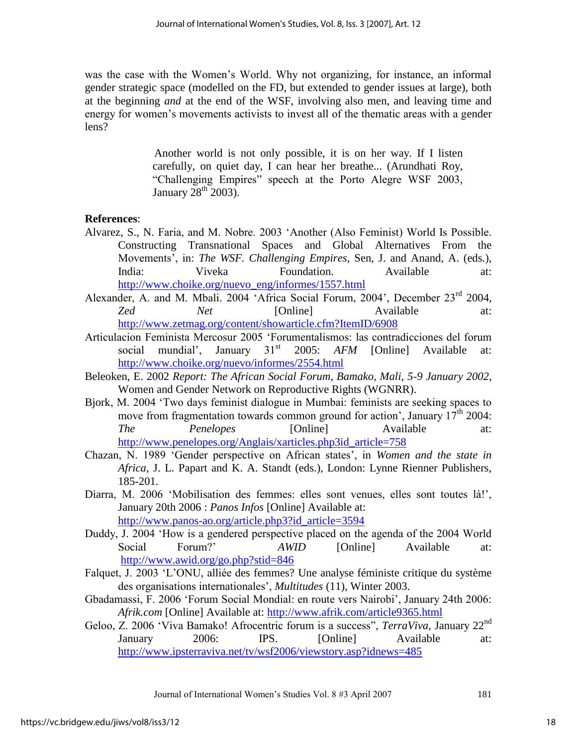was the case with the Women"s World. Why not organizing, for instance, an informal gender strategic space (modelled on the FD, but extended to gender issues at large), both at the beginning *and* at the end of the WSF, involving also men, and leaving time and energy for women's movements activists to invest all of the thematic areas with a gender lens?

> Another world is not only possible, it is on her way. If I listen carefully, on quiet day, I can hear her breathe... (Arundhati Roy, "Challenging Empires" speech at the Porto Alegre WSF 2003, January  $28^{\text{th}}$  2003).

# **References**:

- Alvarez, S., N. Faria, and M. Nobre. 2003 "Another (Also Feminist) World Is Possible. Constructing Transnational Spaces and Global Alternatives From the Movements", in: *The WSF. Challenging Empires*, Sen, J. and Anand, A. (eds.), India: Viveka Foundation. Available at: [http://www.choike.org/nuevo\\_eng/informes/1557.html](http://www.choike.org/nuevo_eng/informes/1557.html)
- Alexander, A. and M. Mbali. 2004 'Africa Social Forum, 2004', December 23<sup>rd</sup> 2004, *Zed Net* [Online] Available at: <http://www.zetmag.org/content/showarticle.cfm?ItemID/6908>
- Articulacion Feminista Mercosur 2005 "Forumentalismos: las contradicciones del forum social mundial', January 31<sup>st</sup> 2005: AFM [Online] Available at: <http://www.choike.org/nuevo/informes/2554.html>
- Beleoken, E. 2002 *Report: The African Social Forum, Bamako, Mali, 5-9 January 2002*, Women and Gender Network on Reproductive Rights (WGNRR).
- Bjork, M. 2004 "Two days feminist dialogue in Mumbai: feminists are seeking spaces to move from fragmentation towards common ground for action', January  $17<sup>th</sup>$  2004: *The Penelopes* [Online] Available at: [http://www.penelopes.org/Anglais/xarticles.php3id\\_article=758](http://www.penelopes.org/Anglais/xarticles.php3id_article=758)
- Chazan, N. 1989 "Gender perspective on African states", in *Women and the state in Africa*, J. L. Papart and K. A. Standt (eds.), London: Lynne Rienner Publishers, 185-201.
- Diarra, M. 2006 "Mobilisation des femmes: elles sont venues, elles sont toutes là!", January 20th 2006 : *Panos Infos* [Online] Available at: [http://www.panos-ao.org/article.php3?id\\_article=3594](http://www.panos-ao.org/article.php3?id_article=3594)
- Duddy, J. 2004 "How is a gendered perspective placed on the agenda of the 2004 World Social Forum?' *AWID* [Online] Available at: <http://www.awid.org/go.php?stid=846>
- Falquet, J. 2003 "L"ONU, alliée des femmes? Une analyse féministe critique du système des organisations internationales", *Multitudes* (11), Winter 2003.
- Gbadamassi, F. 2006 "Forum Social Mondial: en route vers Nairobi", January 24th 2006: *Afrik.com* [Online] Available at:<http://www.afrik.com/article9365.html>
- Geloo, Z. 2006 "Viva Bamako! Afrocentric forum is a success", *TerraViva*, January 22nd January 2006: IPS. [Online] Available at: <http://www.ipsterraviva.net/tv/wsf2006/viewstory.asp?idnews=485>

Journal of International Women"s Studies Vol. 8 #3 April 2007 181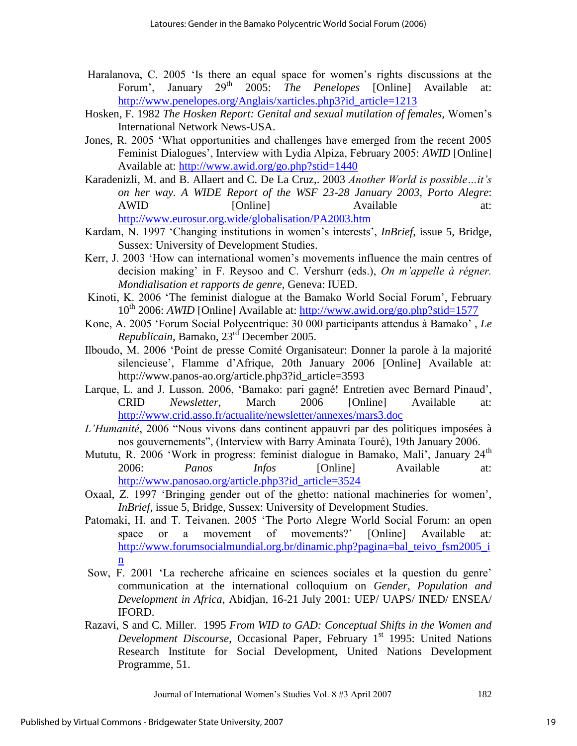- Haralanova, C. 2005 "Is there an equal space for women"s rights discussions at the Forum', January 29<sup>th</sup> 2005: *The Penelopes* [Online] Available at: [http://www.penelopes.org/Anglais/xarticles.php3?id\\_article=1213](http://www.penelopes.org/Anglais/xarticles.php3?id_article=1213)
- Hosken, F. 1982 *The Hosken Report: Genital and sexual mutilation of females,* Women"s International Network News-USA.
- Jones, R. 2005 "What opportunities and challenges have emerged from the recent 2005 Feminist Dialogues", Interview with Lydia Alpiza, February 2005: *AWID* [Online] Available at:<http://www.awid.org/go.php?stid=1440>
- Karadenizli, M. and B. Allaert and C. De La Cruz,. 2003 *Another World is possible…it's on her way. A WIDE Report of the WSF 23-28 January 2003, Porto Alegre*: AWID [Online] Available at: <http://www.eurosur.org.wide/globalisation/PA2003.htm>
- Kardam, N. 1997 "Changing institutions in women"s interests", *InBrief*, issue 5, Bridge, Sussex: University of Development Studies.
- Kerr, J. 2003 "How can international women"s movements influence the main centres of decision making" in F. Reysoo and C. Vershurr (eds.), *On m'appelle à régner. Mondialisation et rapports de genre*, Geneva: IUED.
- Kinoti, K. 2006 'The feminist dialogue at the Bamako World Social Forum', February 10th 2006: *AWID* [Online] Available at:<http://www.awid.org/go.php?stid=1577>
- Kone, A. 2005 "Forum Social Polycentrique: 30 000 participants attendus à Bamako" , *Le Republicain*, Bamako, 23rd December 2005.
- Ilboudo, M. 2006 "Point de presse Comité Organisateur: Donner la parole à la majorité silencieuse', Flamme d'Afrique, 20th January 2006 [Online] Available at: http://www.panos-ao.org/article.php3?id\_article=3593
- Larque, L. and J. Lusson. 2006, "Bamako: pari gagné! Entretien avec Bernard Pinaud", CRID *Newsletter*, March 2006 [Online] Available at: <http://www.crid.asso.fr/actualite/newsletter/annexes/mars3.doc>
- *L'Humanité*, 2006 "Nous vivons dans continent appauvri par des politiques imposées à nos gouvernements", (Interview with Barry Aminata Touré), 19th January 2006.
- Mututu, R. 2006 'Work in progress: feminist dialogue in Bamako, Mali', January 24<sup>th</sup> 2006: *Panos Infos* [Online] Available at: [http://www.panosao.org/article.php3?id\\_article=3524](http://www.panos-ao.org/article.php3?id_article=3524)
- Oxaal, Z. 1997 "Bringing gender out of the ghetto: national machineries for women", *InBrief*, issue 5, Bridge, Sussex: University of Development Studies.
- Patomaki, H. and T. Teivanen. 2005 "The Porto Alegre World Social Forum: an open space or a movement of movements?' [Online] Available at: [http://www.forumsocialmundial.org.br/dinamic.php?pagina=bal\\_teivo\\_fsm2005\\_i](http://www.forumsocialmundial.org.br/dinamic.php?pagina=bal_teivo_fsm2005_in) [n](http://www.forumsocialmundial.org.br/dinamic.php?pagina=bal_teivo_fsm2005_in)
- Sow, F. 2001 "La recherche africaine en sciences sociales et la question du genre" communication at the international colloquium on *Gender, Population and Development in Africa*, Abidjan, 16-21 July 2001: UEP/ UAPS/ INED/ ENSEA/ IFORD.
- Razavi, S and C. Miller. 1995 *From WID to GAD: Conceptual Shifts in the Women and Development Discourse*, Occasional Paper, February 1<sup>st</sup> 1995: United Nations Research Institute for Social Development, United Nations Development Programme, 51.

Journal of International Women"s Studies Vol. 8 #3 April 2007 182